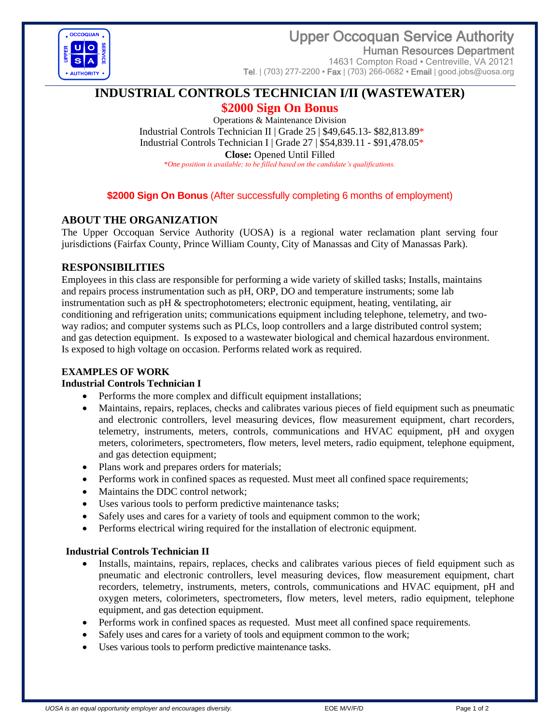

# Upper Occoquan Service Authority Human Resources Department

14631 Compton Road · Centreville, VA 20121 Tel.  $(703)$  277-2200 • Fax  $(703)$  266-0682 • Email  $|$  [good.jobs@uosa.org](../../Vacancies%20%5e%20CLOSED/2020%20CLOSED%20Vacancies/3561-Mechanic%20Trainee-3550%20Mechanic%20III/Vacancy%20Announcements/angelottib/AppData/Local/Microsoft/Windows/INetCache/Content.Outlook/AppData/Local/Microsoft/Windows/INetCache/Content.Outlook/AppData/Local/Microsoft/Windows/Temporary%20Internet%20Files/Content.Outlook/AppData/Local/Microsoft/Windows/Temporary%20Internet%20Files/Content.Outlook/AppData/Local/Microsoft/Windows/Temporary%20Internet%20Files/Content.Outlook/AppData/Local/Microsoft/Windows/Temporary%20Internet%20Files/Administrative%20Assistant%20(Mar%202014)/Mechanic%20(Dec%202013)/Vacancy%20Annoucements/good.jobs@uosa.org)

## **INDUSTRIAL CONTROLS TECHNICIAN I/II (WASTEWATER)**

**\$2000 Sign On Bonus**

Operations & Maintenance Division Industrial Controls Technician II | Grade 25 | \$49,645.13- \$82,813.89\* Industrial Controls Technician I | Grade 27 | \$54,839.11 - \$91,478.05\* **Close:** Opened Until Filled \**One position is available; to be filled based on the candidate's qualifications.*

## **\$2000 Sign On Bonus** (After successfully completing 6 months of employment)

## **ABOUT THE ORGANIZATION**

The Upper Occoquan Service Authority (UOSA) is a regional water reclamation plant serving four jurisdictions (Fairfax County, Prince William County, City of Manassas and City of Manassas Park).

## **RESPONSIBILITIES**

Employees in this class are responsible for performing a wide variety of skilled tasks; Installs, maintains and repairs process instrumentation such as pH, ORP, DO and temperature instruments; some lab instrumentation such as  $pH \&$  spectrophotometers; electronic equipment, heating, ventilating, air conditioning and refrigeration units; communications equipment including telephone, telemetry, and twoway radios; and computer systems such as PLCs, loop controllers and a large distributed control system; and gas detection equipment. Is exposed to a wastewater biological and chemical hazardous environment. Is exposed to high voltage on occasion. Performs related work as required.

### **EXAMPLES OF WORK**

### **Industrial Controls Technician I**

- Performs the more complex and difficult equipment installations;
- Maintains, repairs, replaces, checks and calibrates various pieces of field equipment such as pneumatic and electronic controllers, level measuring devices, flow measurement equipment, chart recorders, telemetry, instruments, meters, controls, communications and HVAC equipment, pH and oxygen meters, colorimeters, spectrometers, flow meters, level meters, radio equipment, telephone equipment, and gas detection equipment;
- Plans work and prepares orders for materials;
- Performs work in confined spaces as requested. Must meet all confined space requirements;
- Maintains the DDC control network;
- Uses various tools to perform predictive maintenance tasks;
- Safely uses and cares for a variety of tools and equipment common to the work;
- Performs electrical wiring required for the installation of electronic equipment.

### **Industrial Controls Technician II**

- Installs, maintains, repairs, replaces, checks and calibrates various pieces of field equipment such as pneumatic and electronic controllers, level measuring devices, flow measurement equipment, chart recorders, telemetry, instruments, meters, controls, communications and HVAC equipment, pH and oxygen meters, colorimeters, spectrometers, flow meters, level meters, radio equipment, telephone equipment, and gas detection equipment.
- Performs work in confined spaces as requested. Must meet all confined space requirements.
- Safely uses and cares for a variety of tools and equipment common to the work;
- Uses various tools to perform predictive maintenance tasks.